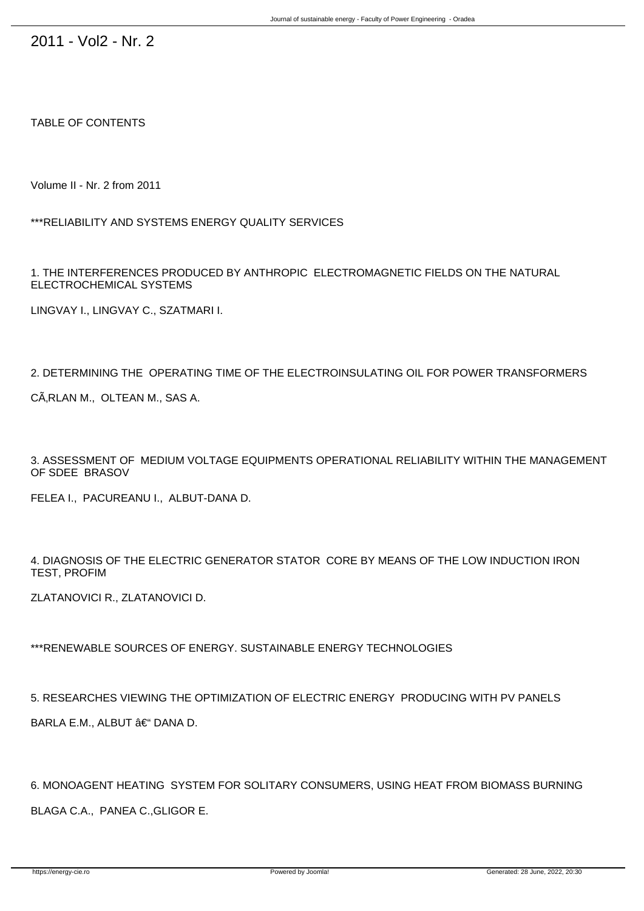2011 - Vol2 - Nr. 2

TABLE OF CONTENTS

Volume II - Nr. 2 from 2011

\*\*\*RELIABILITY AND SYSTEMS ENERGY QUALITY SERVICES

1. THE INTERFERENCES PRODUCED BY ANTHROPIC ELECTROMAGNETIC FIELDS ON THE NATURAL ELECTROCHEMICAL SYSTEMS

LINGVAY I., LINGVAY C., SZATMARI I.

2. DETERMINING THE OPERATING TIME OF THE ELECTROINSULATING OIL FOR POWER TRANSFORMERS

CÂRLAN M., OLTEAN M., SAS A.

3. ASSESSMENT OF MEDIUM VOLTAGE EQUIPMENTS OPERATIONAL RELIABILITY WITHIN THE MANAGEMENT OF SDEE BRASOV

FELEA I., PACUREANU I., ALBUT-DANA D.

4. DIAGNOSIS OF THE ELECTRIC GENERATOR STATOR CORE BY MEANS OF THE LOW INDUCTION IRON TEST, PROFIM

ZLATANOVICI R., ZLATANOVICI D.

\*\*\*RENEWABLE SOURCES OF ENERGY. SUSTAINABLE ENERGY TECHNOLOGIES

5. RESEARCHES VIEWING THE OPTIMIZATION OF ELECTRIC ENERGY PRODUCING WITH PV PANELS BARLA E.M., ALBUT – DANA D.

6. MONOAGENT HEATING SYSTEM FOR SOLITARY CONSUMERS, USING HEAT FROM BIOMASS BURNING BLAGA C.A., PANEA C.,GLIGOR E.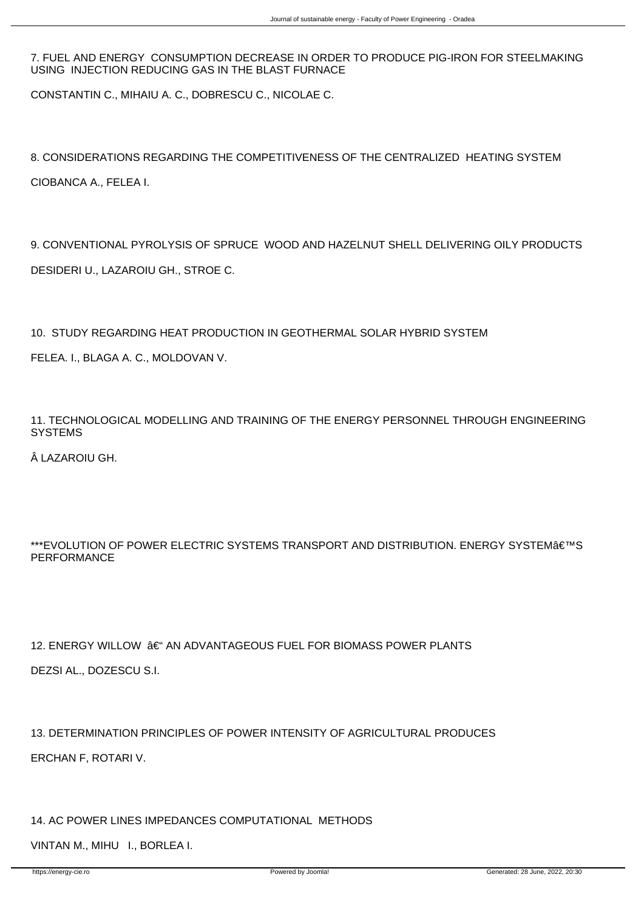7. FUEL AND ENERGY CONSUMPTION DECREASE IN ORDER TO PRODUCE PIG-IRON FOR STEELMAKING USING INJECTION REDUCING GAS IN THE BLAST FURNACE

CONSTANTIN C., MIHAIU A. C., DOBRESCU C., NICOLAE C.

8. CONSIDERATIONS REGARDING THE COMPETITIVENESS OF THE CENTRALIZED HEATING SYSTEM CIOBANCA A., FELEA I.

9. CONVENTIONAL PYROLYSIS OF SPRUCE WOOD AND HAZELNUT SHELL DELIVERING OILY PRODUCTS DESIDERI U., LAZAROIU GH., STROE C.

10. STUDY REGARDING HEAT PRODUCTION IN GEOTHERMAL SOLAR HYBRID SYSTEM

FELEA. I., BLAGA A. C., MOLDOVAN V.

11. TECHNOLOGICAL MODELLING AND TRAINING OF THE ENERGY PERSONNEL THROUGH ENGINEERING **SYSTEMS** 

LAZAROIU GH.

\*\*\*EVOLUTION OF POWER ELECTRIC SYSTEMS TRANSPORT AND DISTRIBUTION. ENERGY SYSTEM  $\hat{a} \in \mathbb{N}$ PERFORMANCE

12. ENERGY WILLOW – AN ADVANTAGEOUS FUEL FOR BIOMASS POWER PLANTS

DEZSI AL., DOZESCU S.I.

13. DETERMINATION PRINCIPLES OF POWER INTENSITY OF AGRICULTURAL PRODUCES ERCHAN F, ROTARI V.

14. AC POWER LINES IMPEDANCES COMPUTATIONAL METHODS

VINTAN M., MIHU I., BORLEA I.